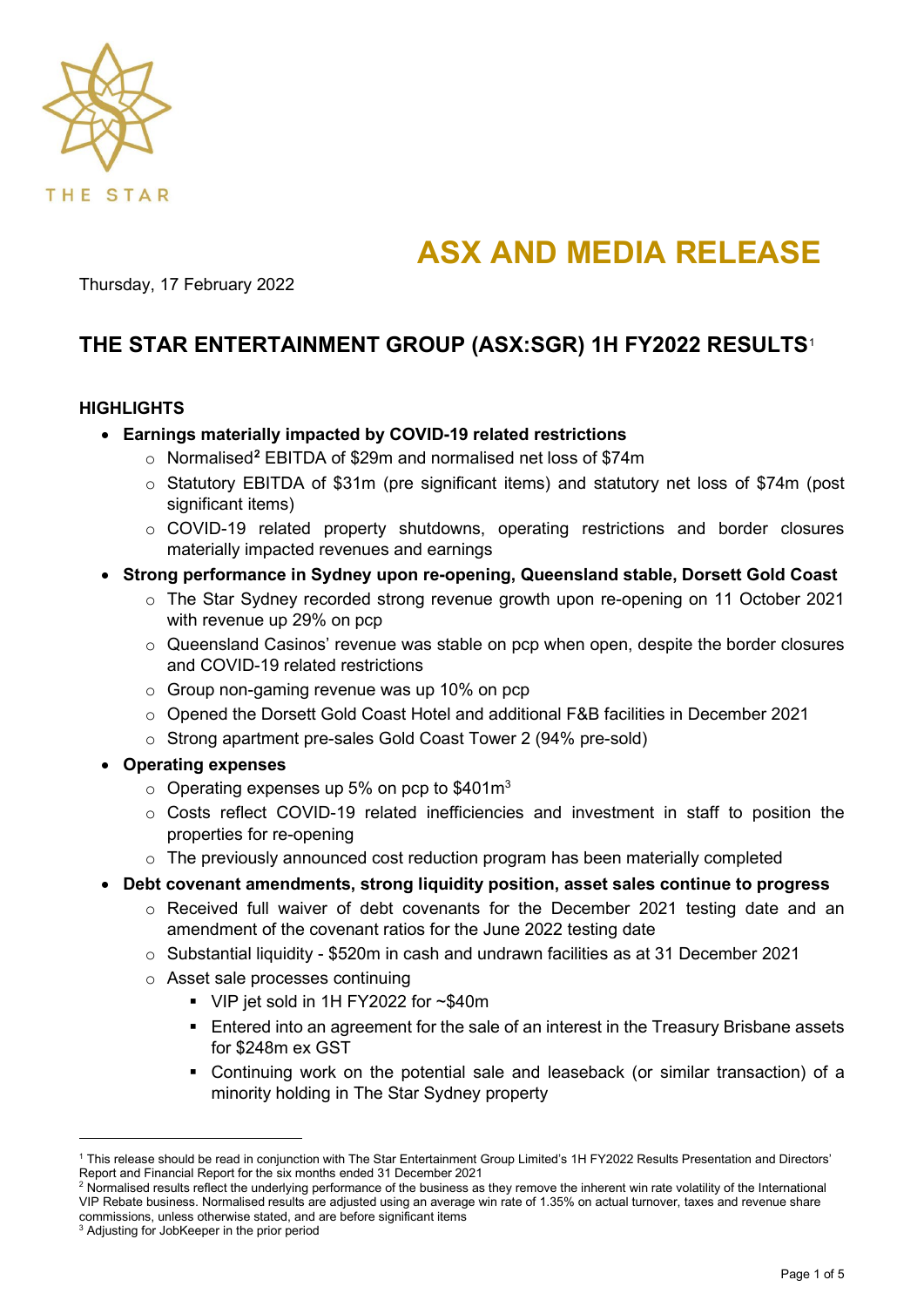

# **ASX AND MEDIA RELEASE**

Thursday, 17 February 2022

# **THE STAR ENTERTAINMENT GROUP (ASX:SGR) 1H FY2022 RESULTS**[1](#page-0-0)

# **HIGHLIGHTS**

- **Earnings materially impacted by COVID-19 related restrictions**
	- o Normalised**[2](#page-0-1)** EBITDA of \$29m and normalised net loss of \$74m
	- o Statutory EBITDA of \$31m (pre significant items) and statutory net loss of \$74m (post significant items)
	- o COVID-19 related property shutdowns, operating restrictions and border closures materially impacted revenues and earnings
- **Strong performance in Sydney upon re-opening, Queensland stable, Dorsett Gold Coast**
	- o The Star Sydney recorded strong revenue growth upon re-opening on 11 October 2021 with revenue up 29% on pcp
	- $\circ$  Queensland Casinos' revenue was stable on pcp when open, despite the border closures and COVID-19 related restrictions
	- o Group non-gaming revenue was up 10% on pcp
	- o Opened the Dorsett Gold Coast Hotel and additional F&B facilities in December 2021
	- o Strong apartment pre-sales Gold Coast Tower 2 (94% pre-sold)
- **Operating expenses**
	- $\circ$  Operating expenses up 5% on pcp to \$401m<sup>3</sup>
	- o Costs reflect COVID-19 related inefficiencies and investment in staff to position the properties for re-opening
	- $\circ$  The previously announced cost reduction program has been materially completed
- **Debt covenant amendments, strong liquidity position, asset sales continue to progress**
	- o Received full waiver of debt covenants for the December 2021 testing date and an amendment of the covenant ratios for the June 2022 testing date
	- o Substantial liquidity \$520m in cash and undrawn facilities as at 31 December 2021
	- o Asset sale processes continuing
		- VIP jet sold in 1H FY2022 for ~\$40m
		- **Entered into an agreement for the sale of an interest in the Treasury Brisbane assets** for \$248m ex GST
		- Continuing work on the potential sale and leaseback (or similar transaction) of a minority holding in The Star Sydney property

<span id="page-0-0"></span><sup>1</sup> This release should be read in conjunction with The Star Entertainment Group Limited's 1H FY2022 Results Presentation and Directors' Report and Financial Report for the six months ended 31 December 2021

<span id="page-0-1"></span><sup>&</sup>lt;sup>2</sup> Normalised results reflect the underlying performance of the business as they remove the inherent win rate volatility of the International VIP Rebate business. Normalised results are adjusted using an average win rate of 1.35% on actual turnover, taxes and revenue share commissions, unless otherwise stated, and are before significant items

<sup>&</sup>lt;sup>3</sup> Adjusting for JobKeeper in the prior period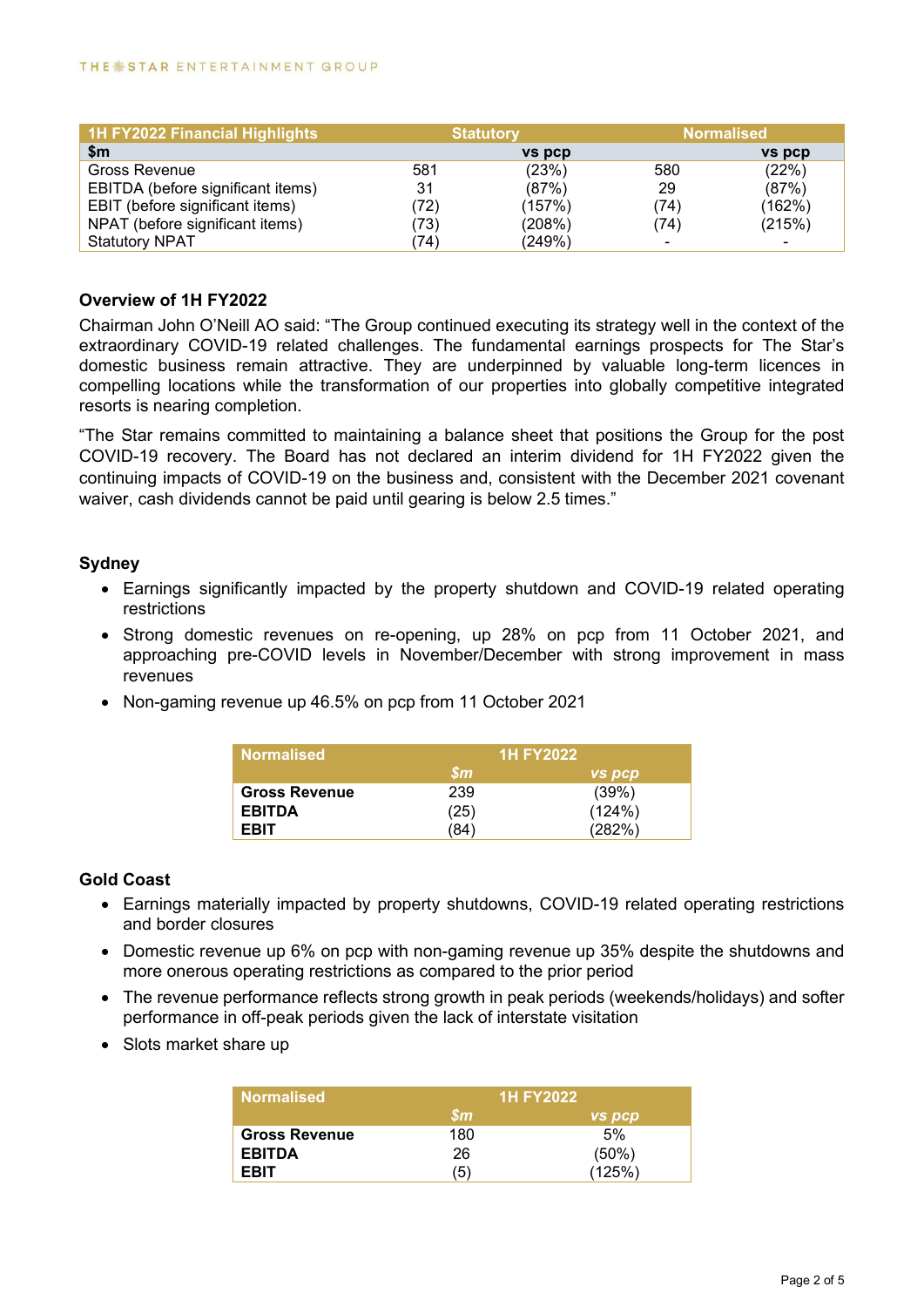| 1H FY2022 Financial Highlights    |      | <b>Statutory</b> |                | <b>Normalised</b> |
|-----------------------------------|------|------------------|----------------|-------------------|
| $\mathsf{sm}$                     |      | <b>vs</b> pcp    |                | vs pcp            |
| Gross Revenue                     | 581  | (23%)            | 580            | (22%)             |
| EBITDA (before significant items) | 31   | (87%)            | 29             | (87%)             |
| EBIT (before significant items)   | 72)  | (157%)           | '74)           | (162%)            |
| NPAT (before significant items)   | (73) | (208%)           | (74)           | (215%)            |
| <b>Statutory NPAT</b>             | 74)  | (249%)           | $\blacksquare$ |                   |

#### **Overview of 1H FY2022**

Chairman John O'Neill AO said: "The Group continued executing its strategy well in the context of the extraordinary COVID-19 related challenges. The fundamental earnings prospects for The Star's domestic business remain attractive. They are underpinned by valuable long-term licences in compelling locations while the transformation of our properties into globally competitive integrated resorts is nearing completion.

"The Star remains committed to maintaining a balance sheet that positions the Group for the post COVID-19 recovery. The Board has not declared an interim dividend for 1H FY2022 given the continuing impacts of COVID-19 on the business and, consistent with the December 2021 covenant waiver, cash dividends cannot be paid until gearing is below 2.5 times."

# **Sydney**

- Earnings significantly impacted by the property shutdown and COVID-19 related operating restrictions
- Strong domestic revenues on re-opening, up 28% on pcp from 11 October 2021, and approaching pre-COVID levels in November/December with strong improvement in mass revenues
- Non-gaming revenue up 46.5% on pcp from 11 October 2021

| <b>Normalised</b>    | <b>1H FY2022</b>        |               |  |
|----------------------|-------------------------|---------------|--|
|                      | $\mathbf{\mathfrak{m}}$ | <b>VS DCD</b> |  |
| <b>Gross Revenue</b> | 239                     | (39%)         |  |
| <b>EBITDA</b>        | (25)                    | (124%)        |  |
| <b>FRIT</b>          | '84'                    | (282%)        |  |

#### **Gold Coast**

- Earnings materially impacted by property shutdowns, COVID-19 related operating restrictions and border closures
- Domestic revenue up 6% on pcp with non-gaming revenue up 35% despite the shutdowns and more onerous operating restrictions as compared to the prior period
- The revenue performance reflects strong growth in peak periods (weekends/holidays) and softer performance in off-peak periods given the lack of interstate visitation
- Slots market share up

| <b>Normalised</b>    | <b>1H FY2022</b>                  |               |  |
|----------------------|-----------------------------------|---------------|--|
|                      | $\mathbf{\mathfrak{S}}\mathbf{m}$ | <b>VS DCD</b> |  |
| <b>Gross Revenue</b> | 180                               | 5%            |  |
| <b>EBITDA</b>        | 26                                | (50%)         |  |
| <b>FRIT</b>          | '5)                               | (125%)        |  |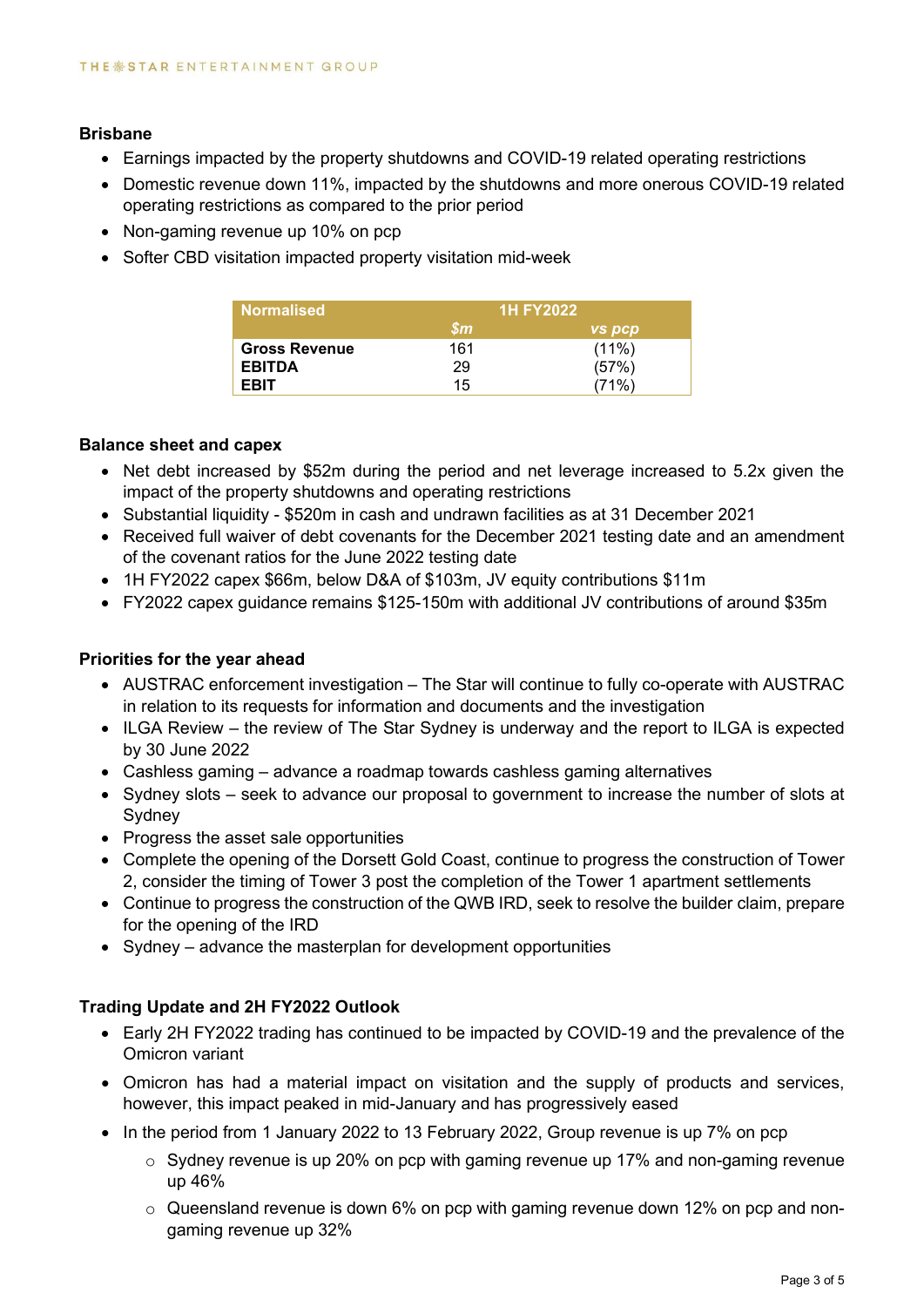#### **Brisbane**

- Earnings impacted by the property shutdowns and COVID-19 related operating restrictions
- Domestic revenue down 11%, impacted by the shutdowns and more onerous COVID-19 related operating restrictions as compared to the prior period
- Non-gaming revenue up 10% on pcp
- Softer CBD visitation impacted property visitation mid-week

| <b>Normalised</b>    | 1H FY20221             |               |
|----------------------|------------------------|---------------|
|                      | $\mathbf{\mathit{sm}}$ | <b>VS DCD</b> |
| <b>Gross Revenue</b> | 161                    | $(11\%)$      |
| <b>EBITDA</b>        | 29                     | (57%)         |
| <b>FRIT</b>          | 15                     | (71%)         |

#### **Balance sheet and capex**

- Net debt increased by \$52m during the period and net leverage increased to 5.2x given the impact of the property shutdowns and operating restrictions
- Substantial liquidity \$520m in cash and undrawn facilities as at 31 December 2021
- Received full waiver of debt covenants for the December 2021 testing date and an amendment of the covenant ratios for the June 2022 testing date
- 1H FY2022 capex \$66m, below D&A of \$103m, JV equity contributions \$11m
- FY2022 capex guidance remains \$125-150m with additional JV contributions of around \$35m

# **Priorities for the year ahead**

- AUSTRAC enforcement investigation The Star will continue to fully co-operate with AUSTRAC in relation to its requests for information and documents and the investigation
- ILGA Review the review of The Star Sydney is underway and the report to ILGA is expected by 30 June 2022
- Cashless gaming advance a roadmap towards cashless gaming alternatives
- Sydney slots seek to advance our proposal to government to increase the number of slots at Sydney
- Progress the asset sale opportunities
- Complete the opening of the Dorsett Gold Coast, continue to progress the construction of Tower 2, consider the timing of Tower 3 post the completion of the Tower 1 apartment settlements
- Continue to progress the construction of the QWB IRD, seek to resolve the builder claim, prepare for the opening of the IRD
- Sydney advance the masterplan for development opportunities

# **Trading Update and 2H FY2022 Outlook**

- Early 2H FY2022 trading has continued to be impacted by COVID-19 and the prevalence of the Omicron variant
- Omicron has had a material impact on visitation and the supply of products and services, however, this impact peaked in mid-January and has progressively eased
- In the period from 1 January 2022 to 13 February 2022, Group revenue is up 7% on pcp
	- $\circ$  Sydney revenue is up 20% on pcp with gaming revenue up 17% and non-gaming revenue up 46%
	- $\circ$  Queensland revenue is down 6% on pcp with gaming revenue down 12% on pcp and nongaming revenue up 32%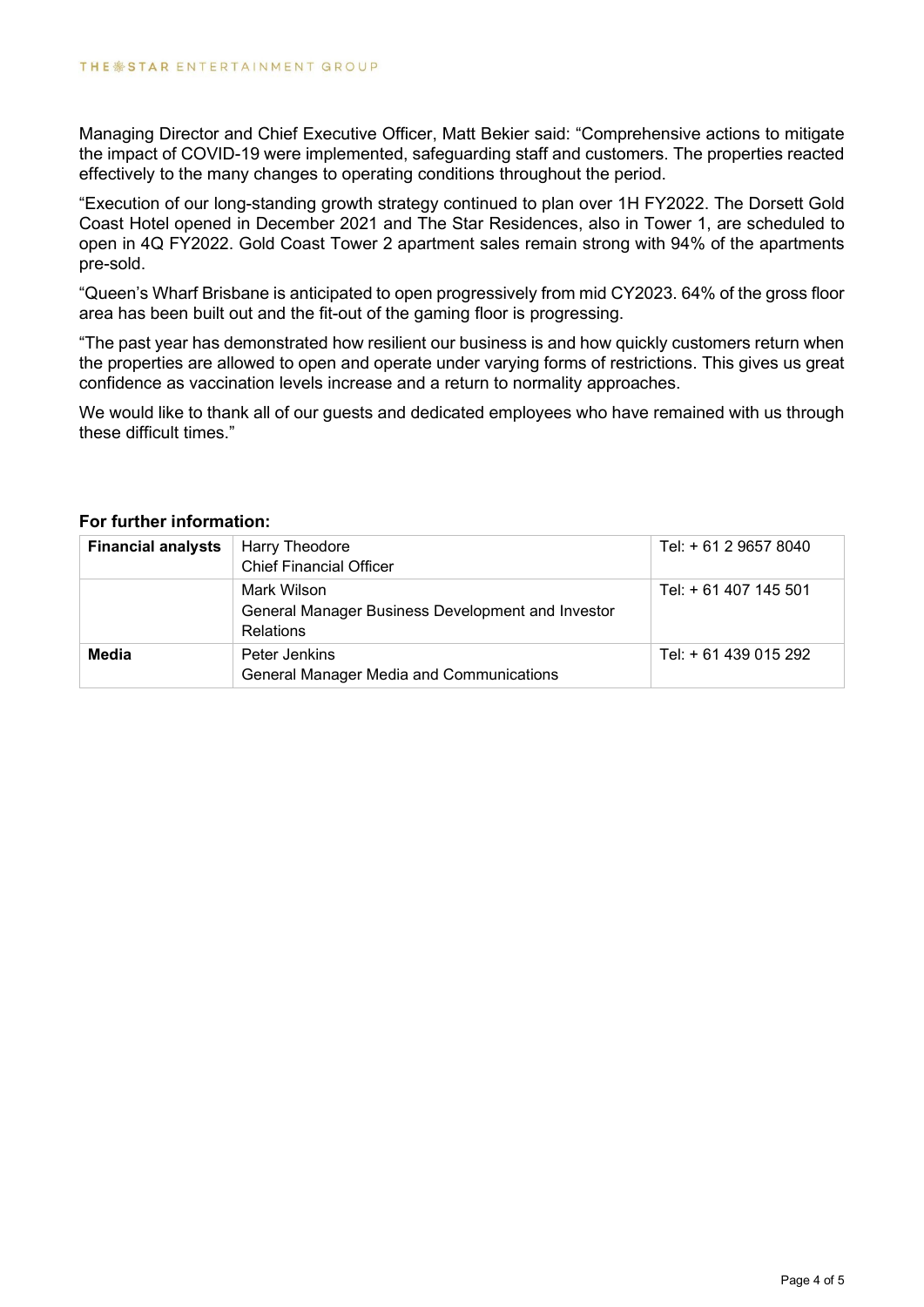Managing Director and Chief Executive Officer, Matt Bekier said: "Comprehensive actions to mitigate the impact of COVID-19 were implemented, safeguarding staff and customers. The properties reacted effectively to the many changes to operating conditions throughout the period.

"Execution of our long-standing growth strategy continued to plan over 1H FY2022. The Dorsett Gold Coast Hotel opened in December 2021 and The Star Residences, also in Tower 1, are scheduled to open in 4Q FY2022. Gold Coast Tower 2 apartment sales remain strong with 94% of the apartments pre-sold.

"Queen's Wharf Brisbane is anticipated to open progressively from mid CY2023. 64% of the gross floor area has been built out and the fit-out of the gaming floor is progressing.

"The past year has demonstrated how resilient our business is and how quickly customers return when the properties are allowed to open and operate under varying forms of restrictions. This gives us great confidence as vaccination levels increase and a return to normality approaches.

We would like to thank all of our guests and dedicated employees who have remained with us through these difficult times."

#### **For further information:**

| <b>Financial analysts</b> | Harry Theodore<br><b>Chief Financial Officer</b>                                     | Tel: + 61 2 9657 8040 |
|---------------------------|--------------------------------------------------------------------------------------|-----------------------|
|                           | Mark Wilson<br>General Manager Business Development and Investor<br><b>Relations</b> | Tel: + 61 407 145 501 |
| Media                     | Peter Jenkins<br><b>General Manager Media and Communications</b>                     | Tel: + 61 439 015 292 |